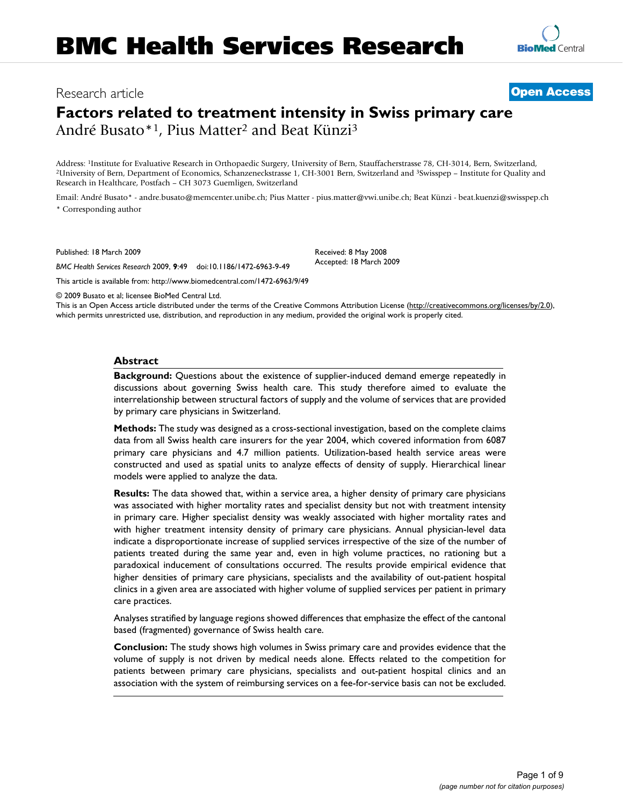## Research article **[Open Access](http://www.biomedcentral.com/info/about/charter/)**

# **Factors related to treatment intensity in Swiss primary care** André Busato<sup>\*1</sup>, Pius Matter<sup>2</sup> and Beat Künzi<sup>3</sup>

Address: <sup>1</sup>Institute for Evaluative Research in Orthopaedic Surgery, University of Bern, Stauffacherstrasse 78, CH-3014, Bern, Switzerland, <sup>2</sup>University of Bern, Department of Economics, Schanzeneckstrasse 1, CH-3001 Ber Research in Healthcare, Postfach – CH 3073 Guemligen, Switzerland

Email: André Busato\* - andre.busato@memcenter.unibe.ch; Pius Matter - pius.matter@vwi.unibe.ch; Beat Künzi - beat.kuenzi@swisspep.ch \* Corresponding author

Published: 18 March 2009

Received: 8 May 2008 Accepted: 18 March 2009

[This article is available from: http://www.biomedcentral.com/1472-6963/9/49](http://www.biomedcentral.com/1472-6963/9/49)

*BMC Health Services Research* 2009, **9**:49 doi:10.1186/1472-6963-9-49

© 2009 Busato et al; licensee BioMed Central Ltd.

This is an Open Access article distributed under the terms of the Creative Commons Attribution License [\(http://creativecommons.org/licenses/by/2.0\)](http://creativecommons.org/licenses/by/2.0), which permits unrestricted use, distribution, and reproduction in any medium, provided the original work is properly cited.

#### **Abstract**

**Background:** Questions about the existence of supplier-induced demand emerge repeatedly in discussions about governing Swiss health care. This study therefore aimed to evaluate the interrelationship between structural factors of supply and the volume of services that are provided by primary care physicians in Switzerland.

**Methods:** The study was designed as a cross-sectional investigation, based on the complete claims data from all Swiss health care insurers for the year 2004, which covered information from 6087 primary care physicians and 4.7 million patients. Utilization-based health service areas were constructed and used as spatial units to analyze effects of density of supply. Hierarchical linear models were applied to analyze the data.

**Results:** The data showed that, within a service area, a higher density of primary care physicians was associated with higher mortality rates and specialist density but not with treatment intensity in primary care. Higher specialist density was weakly associated with higher mortality rates and with higher treatment intensity density of primary care physicians. Annual physician-level data indicate a disproportionate increase of supplied services irrespective of the size of the number of patients treated during the same year and, even in high volume practices, no rationing but a paradoxical inducement of consultations occurred. The results provide empirical evidence that higher densities of primary care physicians, specialists and the availability of out-patient hospital clinics in a given area are associated with higher volume of supplied services per patient in primary care practices.

Analyses stratified by language regions showed differences that emphasize the effect of the cantonal based (fragmented) governance of Swiss health care.

**Conclusion:** The study shows high volumes in Swiss primary care and provides evidence that the volume of supply is not driven by medical needs alone. Effects related to the competition for patients between primary care physicians, specialists and out-patient hospital clinics and an association with the system of reimbursing services on a fee-for-service basis can not be excluded.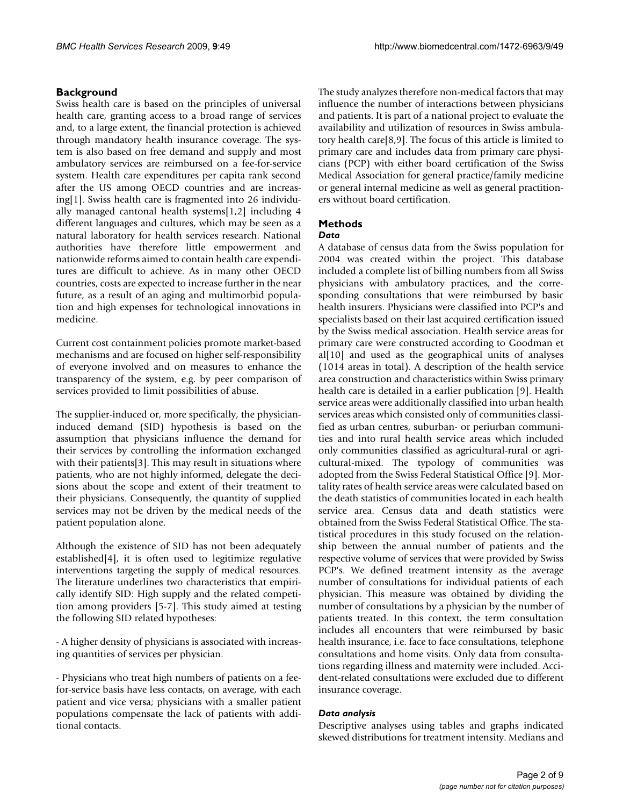## **Background**

Swiss health care is based on the principles of universal health care, granting access to a broad range of services and, to a large extent, the financial protection is achieved through mandatory health insurance coverage. The system is also based on free demand and supply and most ambulatory services are reimbursed on a fee-for-service system. Health care expenditures per capita rank second after the US among OECD countries and are increasing[[1](#page-7-0)]. Swiss health care is fragmented into 26 individually managed cantonal health systems[\[1](#page-7-0),[2](#page-7-1)] including 4 different languages and cultures, which may be seen as a natural laboratory for health services research. National authorities have therefore little empowerment and nationwide reforms aimed to contain health care expenditures are difficult to achieve. As in many other OECD countries, costs are expected to increase further in the near future, as a result of an aging and multimorbid population and high expenses for technological innovations in medicine.

Current cost containment policies promote market-based mechanisms and are focused on higher self-responsibility of everyone involved and on measures to enhance the transparency of the system, e.g. by peer comparison of services provided to limit possibilities of abuse.

The supplier-induced or, more specifically, the physicianinduced demand (SID) hypothesis is based on the assumption that physicians influence the demand for their services by controlling the information exchanged with their patients[[3\]](#page-7-2). This may result in situations where patients, who are not highly informed, delegate the decisions about the scope and extent of their treatment to their physicians. Consequently, the quantity of supplied services may not be driven by the medical needs of the patient population alone.

Although the existence of SID has not been adequately established[[4](#page-7-3)], it is often used to legitimize regulative interventions targeting the supply of medical resources. The literature underlines two characteristics that empirically identify SID: High supply and the related competition among providers [[5](#page-7-4)[-7\]](#page-7-5). This study aimed at testing the following SID related hypotheses:

- A higher density of physicians is associated with increasing quantities of services per physician.

- Physicians who treat high numbers of patients on a feefor-service basis have less contacts, on average, with each patient and vice versa; physicians with a smaller patient populations compensate the lack of patients with additional contacts.

The study analyzes therefore non-medical factors that may influence the number of interactions between physicians and patients. It is part of a national project to evaluate the availability and utilization of resources in Swiss ambulatory health care[[8](#page-7-6),[9](#page-7-7)]. The focus of this article is limited to primary care and includes data from primary care physicians (PCP) with either board certification of the Swiss Medical Association for general practice/family medicine or general internal medicine as well as general practitioners without board certification.

## **Methods**

#### *Data*

A database of census data from the Swiss population for 2004 was created within the project. This database included a complete list of billing numbers from all Swiss physicians with ambulatory practices, and the corresponding consultations that were reimbursed by basic health insurers. Physicians were classified into PCP's and specialists based on their last acquired certification issued by the Swiss medical association. Health service areas for primary care were constructed according to Goodman et al[\[10\]](#page-7-8) and used as the geographical units of analyses (1014 areas in total). A description of the health service area construction and characteristics within Swiss primary health care is detailed in a earlier publication [\[9\]](#page-7-7). Health service areas were additionally classified into urban health services areas which consisted only of communities classified as urban centres, suburban- or periurban communities and into rural health service areas which included only communities classified as agricultural-rural or agricultural-mixed. The typology of communities was adopted from the Swiss Federal Statistical Office [[9](#page-7-7)]. Mortality rates of health service areas were calculated based on the death statistics of communities located in each health service area. Census data and death statistics were obtained from the Swiss Federal Statistical Office. The statistical procedures in this study focused on the relationship between the annual number of patients and the respective volume of services that were provided by Swiss PCP's. We defined treatment intensity as the average number of consultations for individual patients of each physician. This measure was obtained by dividing the number of consultations by a physician by the number of patients treated. In this context, the term consultation includes all encounters that were reimbursed by basic health insurance, i.e. face to face consultations, telephone consultations and home visits. Only data from consultations regarding illness and maternity were included. Accident-related consultations were excluded due to different insurance coverage.

#### *Data analysis*

Descriptive analyses using tables and graphs indicated skewed distributions for treatment intensity. Medians and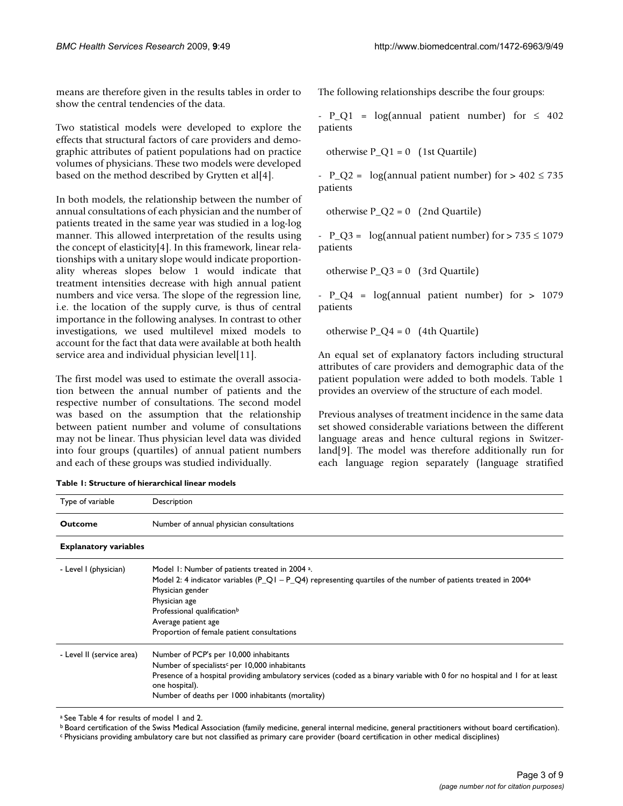means are therefore given in the results tables in order to show the central tendencies of the data.

Two statistical models were developed to explore the effects that structural factors of care providers and demographic attributes of patient populations had on practice volumes of physicians. These two models were developed based on the method described by Grytten et al[[4](#page-7-3)].

In both models, the relationship between the number of annual consultations of each physician and the number of patients treated in the same year was studied in a log-log manner. This allowed interpretation of the results using the concept of elasticity[\[4\]](#page-7-3). In this framework, linear relationships with a unitary slope would indicate proportionality whereas slopes below 1 would indicate that treatment intensities decrease with high annual patient numbers and vice versa. The slope of the regression line, i.e. the location of the supply curve, is thus of central importance in the following analyses. In contrast to other investigations, we used multilevel mixed models to account for the fact that data were available at both health service area and individual physician level[[11](#page-7-9)].

The first model was used to estimate the overall association between the annual number of patients and the respective number of consultations. The second model was based on the assumption that the relationship between patient number and volume of consultations may not be linear. Thus physician level data was divided into four groups (quartiles) of annual patient numbers and each of these groups was studied individually.

- P\_Q1 = log(annual patient number) for  $\leq$  402 patients

otherwise  $P_Q1 = 0$  (1st Quartile)

- P\_Q2 =  $log(annual patient number)$  for > 402  $\leq$  735 patients

otherwise  $P_Q^2 = 0$  (2nd Quartile)

- P\_Q3 = log(annual patient number) for  $> 735 \le 1079$ patients

otherwise  $P_Q3 = 0$  (3rd Quartile)

 $-P_Q4 = log(annual patient number) for > 1079$ patients

otherwise  $P_Q4 = 0$  (4th Quartile)

An equal set of explanatory factors including structural attributes of care providers and demographic data of the patient population were added to both models. Table [1](#page-2-0) provides an overview of the structure of each model.

Previous analyses of treatment incidence in the same data set showed considerable variations between the different language areas and hence cultural regions in Switzerland[\[9\]](#page-7-7). The model was therefore additionally run for each language region separately (language stratified

| Type of variable             | Description                                                                                                                                  |
|------------------------------|----------------------------------------------------------------------------------------------------------------------------------------------|
| <b>Outcome</b>               | Number of annual physician consultations                                                                                                     |
| <b>Explanatory variables</b> |                                                                                                                                              |
| - Level I (physician)        | Model 1: Number of patients treated in 2004 a.                                                                                               |
|                              | Model 2: 4 indicator variables (P_Q1 - P_Q4) representing quartiles of the number of patients treated in 2004 <sup>a</sup>                   |
|                              | Physician gender                                                                                                                             |
|                              | Physician age                                                                                                                                |
|                              | Professional qualification <sup>b</sup>                                                                                                      |
|                              | Average patient age                                                                                                                          |
|                              | Proportion of female patient consultations                                                                                                   |
| - Level II (service area)    | Number of PCP's per 10,000 inhabitants                                                                                                       |
|                              | Number of specialists <sup>c</sup> per 10,000 inhabitants                                                                                    |
|                              | Presence of a hospital providing ambulatory services (coded as a binary variable with 0 for no hospital and 1 for at least<br>one hospital). |
|                              | Number of deaths per 1000 inhabitants (mortality)                                                                                            |

<span id="page-2-0"></span>**Table 1: Structure of hierarchical linear models**

a See Table 4 for results of model 1 and 2.

**b Board certification of the Swiss Medical Association (family medicine, general internal medicine, general practitioners without board certification).** 

c Physicians providing ambulatory care but not classified as primary care provider (board certification in other medical disciplines)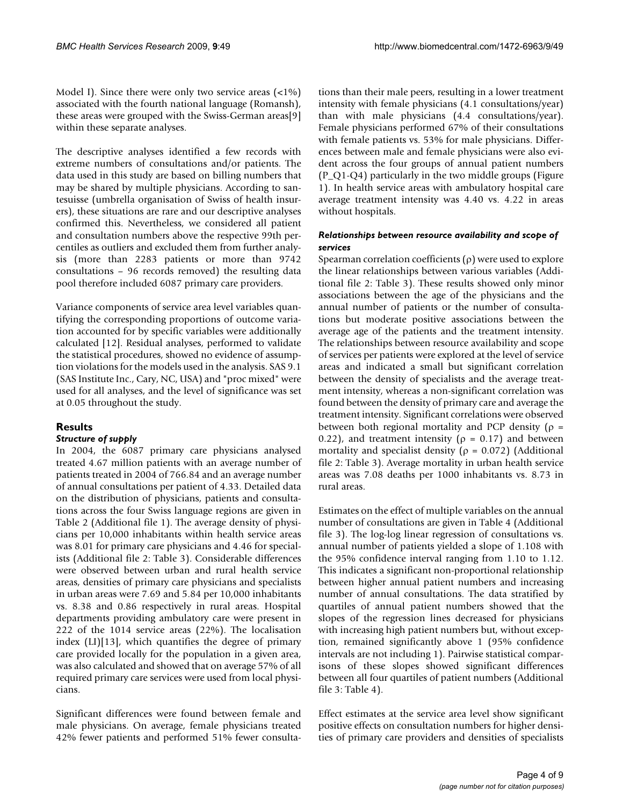Model I). Since there were only two service areas (<1%) associated with the fourth national language (Romansh), these areas were grouped with the Swiss-German areas[\[9\]](#page-7-7) within these separate analyses.

The descriptive analyses identified a few records with extreme numbers of consultations and/or patients. The data used in this study are based on billing numbers that may be shared by multiple physicians. According to santesuisse (umbrella organisation of Swiss of health insurers), these situations are rare and our descriptive analyses confirmed this. Nevertheless, we considered all patient and consultation numbers above the respective 99th percentiles as outliers and excluded them from further analysis (more than 2283 patients or more than 9742 consultations – 96 records removed) the resulting data pool therefore included 6087 primary care providers.

Variance components of service area level variables quantifying the corresponding proportions of outcome variation accounted for by specific variables were additionally calculated [[12\]](#page-7-10). Residual analyses, performed to validate the statistical procedures, showed no evidence of assumption violations for the models used in the analysis. SAS 9.1 (SAS Institute Inc., Cary, NC, USA) and "proc mixed" were used for all analyses, and the level of significance was set at 0.05 throughout the study.

## **Results**

#### *Structure of supply*

In 2004, the 6087 primary care physicians analysed treated 4.67 million patients with an average number of patients treated in 2004 of 766.84 and an average number of annual consultations per patient of 4.33. Detailed data on the distribution of physicians, patients and consultations across the four Swiss language regions are given in Table 2 (Additional file [1](#page-7-11)). The average density of physicians per 10,000 inhabitants within health service areas was 8.01 for primary care physicians and 4.46 for specialists (Additional file [2](#page-7-12): Table 3). Considerable differences were observed between urban and rural health service areas, densities of primary care physicians and specialists in urban areas were 7.69 and 5.84 per 10,000 inhabitants vs. 8.38 and 0.86 respectively in rural areas. Hospital departments providing ambulatory care were present in 222 of the 1014 service areas (22%). The localisation index (LI)[\[13](#page-7-13)], which quantifies the degree of primary care provided locally for the population in a given area, was also calculated and showed that on average 57% of all required primary care services were used from local physicians.

Significant differences were found between female and male physicians. On average, female physicians treated 42% fewer patients and performed 51% fewer consultations than their male peers, resulting in a lower treatment intensity with female physicians (4.1 consultations/year) than with male physicians (4.4 consultations/year). Female physicians performed 67% of their consultations with female patients vs. 53% for male physicians. Differences between male and female physicians were also evident across the four groups of annual patient numbers (P\_Q1-Q4) particularly in the two middle groups (Figure [1](#page-4-0)). In health service areas with ambulatory hospital care average treatment intensity was 4.40 vs. 4.22 in areas without hospitals.

## *Relationships between resource availability and scope of services*

Spearman correlation coefficients  $(\rho)$  were used to explore the linear relationships between various variables (Additional file [2:](#page-7-12) Table 3). These results showed only minor associations between the age of the physicians and the annual number of patients or the number of consultations but moderate positive associations between the average age of the patients and the treatment intensity. The relationships between resource availability and scope of services per patients were explored at the level of service areas and indicated a small but significant correlation between the density of specialists and the average treatment intensity, whereas a non-significant correlation was found between the density of primary care and average the treatment intensity. Significant correlations were observed between both regional mortality and PCP density ( $\rho =$ 0.22), and treatment intensity ( $\rho = 0.17$ ) and between mortality and specialist density ( $\rho = 0.072$ ) (Additional file [2:](#page-7-12) Table 3). Average mortality in urban health service areas was 7.08 deaths per 1000 inhabitants vs. 8.73 in rural areas.

Estimates on the effect of multiple variables on the annual number of consultations are given in Table 4 (Additional file [3](#page-7-14)). The log-log linear regression of consultations vs. annual number of patients yielded a slope of 1.108 with the 95% confidence interval ranging from 1.10 to 1.12. This indicates a significant non-proportional relationship between higher annual patient numbers and increasing number of annual consultations. The data stratified by quartiles of annual patient numbers showed that the slopes of the regression lines decreased for physicians with increasing high patient numbers but, without exception, remained significantly above 1 (95% confidence intervals are not including 1). Pairwise statistical comparisons of these slopes showed significant differences between all four quartiles of patient numbers (Additional file [3](#page-7-14): Table 4).

Effect estimates at the service area level show significant positive effects on consultation numbers for higher densities of primary care providers and densities of specialists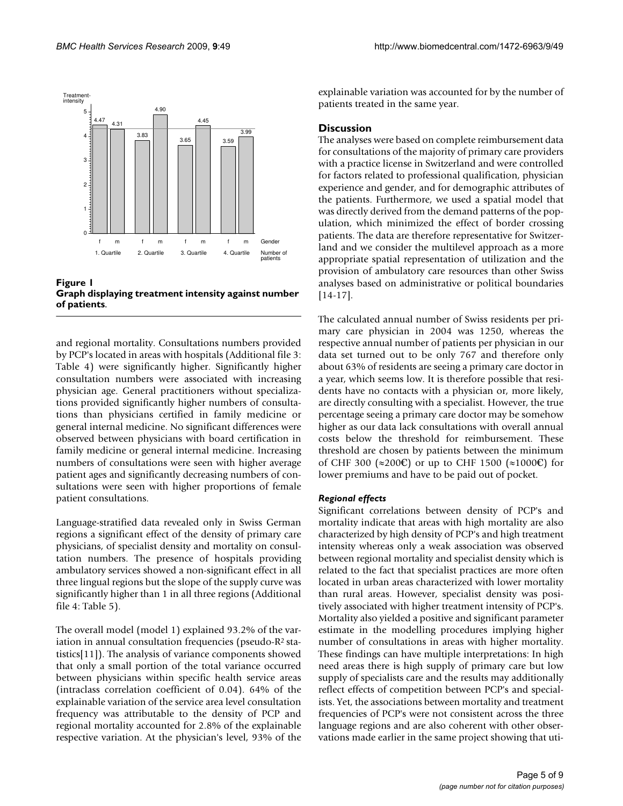<span id="page-4-0"></span>

Figure 1 **Graph displaying treatment intensity against number of patients**.

and regional mortality. Consultations numbers provided by PCP's located in areas with hospitals (Additional file [3:](#page-7-14) Table 4) were significantly higher. Significantly higher consultation numbers were associated with increasing physician age. General practitioners without specializations provided significantly higher numbers of consultations than physicians certified in family medicine or general internal medicine. No significant differences were observed between physicians with board certification in family medicine or general internal medicine. Increasing numbers of consultations were seen with higher average patient ages and significantly decreasing numbers of consultations were seen with higher proportions of female patient consultations.

Language-stratified data revealed only in Swiss German regions a significant effect of the density of primary care physicians, of specialist density and mortality on consultation numbers. The presence of hospitals providing ambulatory services showed a non-significant effect in all three lingual regions but the slope of the supply curve was significantly higher than 1 in all three regions (Additional file [4](#page-7-15): Table 5).

The overall model (model 1) explained 93.2% of the variation in annual consultation frequencies (pseudo-R<sup>2</sup> statistics[\[11](#page-7-9)]). The analysis of variance components showed that only a small portion of the total variance occurred between physicians within specific health service areas (intraclass correlation coefficient of 0.04). 64% of the explainable variation of the service area level consultation frequency was attributable to the density of PCP and regional mortality accounted for 2.8% of the explainable respective variation. At the physician's level, 93% of the explainable variation was accounted for by the number of patients treated in the same year.

### **Discussion**

The analyses were based on complete reimbursement data for consultations of the majority of primary care providers with a practice license in Switzerland and were controlled for factors related to professional qualification, physician experience and gender, and for demographic attributes of the patients. Furthermore, we used a spatial model that was directly derived from the demand patterns of the population, which minimized the effect of border crossing patients. The data are therefore representative for Switzerland and we consider the multilevel approach as a more appropriate spatial representation of utilization and the provision of ambulatory care resources than other Swiss analyses based on administrative or political boundaries [[14](#page-7-16)[-17](#page-8-0)].

The calculated annual number of Swiss residents per primary care physician in 2004 was 1250, whereas the respective annual number of patients per physician in our data set turned out to be only 767 and therefore only about 63% of residents are seeing a primary care doctor in a year, which seems low. It is therefore possible that residents have no contacts with a physician or, more likely, are directly consulting with a specialist. However, the true percentage seeing a primary care doctor may be somehow higher as our data lack consultations with overall annual costs below the threshold for reimbursement. These threshold are chosen by patients between the minimum of CHF 300 (≈200€) or up to CHF 1500 (≈1000€) for lower premiums and have to be paid out of pocket.

#### *Regional effects*

Significant correlations between density of PCP's and mortality indicate that areas with high mortality are also characterized by high density of PCP's and high treatment intensity whereas only a weak association was observed between regional mortality and specialist density which is related to the fact that specialist practices are more often located in urban areas characterized with lower mortality than rural areas. However, specialist density was positively associated with higher treatment intensity of PCP's. Mortality also yielded a positive and significant parameter estimate in the modelling procedures implying higher number of consultations in areas with higher mortality. These findings can have multiple interpretations: In high need areas there is high supply of primary care but low supply of specialists care and the results may additionally reflect effects of competition between PCP's and specialists. Yet, the associations between mortality and treatment frequencies of PCP's were not consistent across the three language regions and are also coherent with other observations made earlier in the same project showing that uti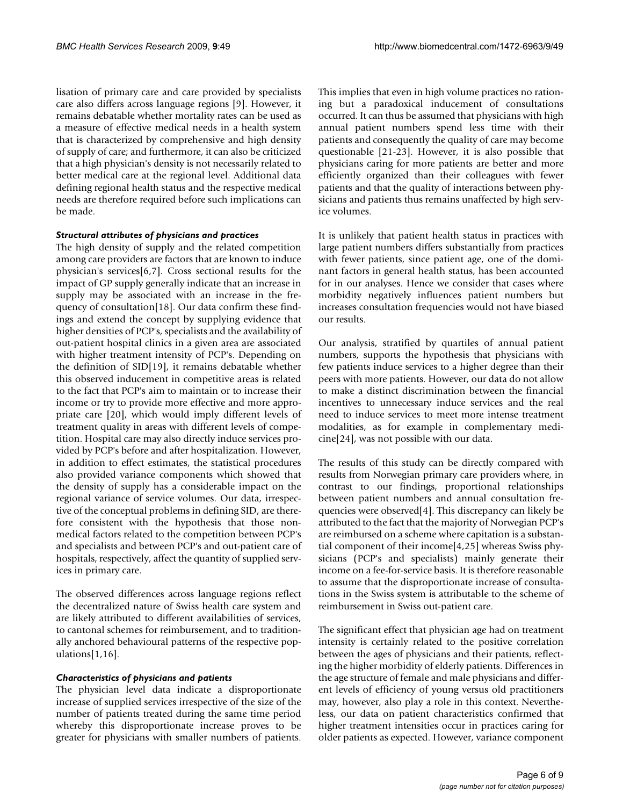lisation of primary care and care provided by specialists care also differs across language regions [\[9](#page-7-7)]. However, it remains debatable whether mortality rates can be used as a measure of effective medical needs in a health system that is characterized by comprehensive and high density of supply of care; and furthermore, it can also be criticized that a high physician's density is not necessarily related to better medical care at the regional level. Additional data defining regional health status and the respective medical needs are therefore required before such implications can be made.

#### *Structural attributes of physicians and practices*

The high density of supply and the related competition among care providers are factors that are known to induce physician's services[[6](#page-7-17),[7](#page-7-5)]. Cross sectional results for the impact of GP supply generally indicate that an increase in supply may be associated with an increase in the frequency of consultation[[18](#page-8-1)]. Our data confirm these findings and extend the concept by supplying evidence that higher densities of PCP's, specialists and the availability of out-patient hospital clinics in a given area are associated with higher treatment intensity of PCP's. Depending on the definition of SID[\[19](#page-8-2)], it remains debatable whether this observed inducement in competitive areas is related to the fact that PCP's aim to maintain or to increase their income or try to provide more effective and more appropriate care [\[20\]](#page-8-3), which would imply different levels of treatment quality in areas with different levels of competition. Hospital care may also directly induce services provided by PCP's before and after hospitalization. However, in addition to effect estimates, the statistical procedures also provided variance components which showed that the density of supply has a considerable impact on the regional variance of service volumes. Our data, irrespective of the conceptual problems in defining SID, are therefore consistent with the hypothesis that those nonmedical factors related to the competition between PCP's and specialists and between PCP's and out-patient care of hospitals, respectively, affect the quantity of supplied services in primary care.

The observed differences across language regions reflect the decentralized nature of Swiss health care system and are likely attributed to different availabilities of services, to cantonal schemes for reimbursement, and to traditionally anchored behavioural patterns of the respective populations[[1](#page-7-0),[16\]](#page-7-18).

#### *Characteristics of physicians and patients*

The physician level data indicate a disproportionate increase of supplied services irrespective of the size of the number of patients treated during the same time period whereby this disproportionate increase proves to be greater for physicians with smaller numbers of patients.

This implies that even in high volume practices no rationing but a paradoxical inducement of consultations occurred. It can thus be assumed that physicians with high annual patient numbers spend less time with their patients and consequently the quality of care may become questionable [\[21](#page-8-4)[-23](#page-8-5)]. However, it is also possible that physicians caring for more patients are better and more efficiently organized than their colleagues with fewer patients and that the quality of interactions between physicians and patients thus remains unaffected by high service volumes.

It is unlikely that patient health status in practices with large patient numbers differs substantially from practices with fewer patients, since patient age, one of the dominant factors in general health status, has been accounted for in our analyses. Hence we consider that cases where morbidity negatively influences patient numbers but increases consultation frequencies would not have biased our results.

Our analysis, stratified by quartiles of annual patient numbers, supports the hypothesis that physicians with few patients induce services to a higher degree than their peers with more patients. However, our data do not allow to make a distinct discrimination between the financial incentives to unnecessary induce services and the real need to induce services to meet more intense treatment modalities, as for example in complementary medicine[[24\]](#page-8-6), was not possible with our data.

The results of this study can be directly compared with results from Norwegian primary care providers where, in contrast to our findings, proportional relationships between patient numbers and annual consultation frequencies were observed[[4](#page-7-3)]. This discrepancy can likely be attributed to the fact that the majority of Norwegian PCP's are reimbursed on a scheme where capitation is a substantial component of their income[[4](#page-7-3),[25](#page-8-7)] whereas Swiss physicians (PCP's and specialists) mainly generate their income on a fee-for-service basis. It is therefore reasonable to assume that the disproportionate increase of consultations in the Swiss system is attributable to the scheme of reimbursement in Swiss out-patient care.

The significant effect that physician age had on treatment intensity is certainly related to the positive correlation between the ages of physicians and their patients, reflecting the higher morbidity of elderly patients. Differences in the age structure of female and male physicians and different levels of efficiency of young versus old practitioners may, however, also play a role in this context. Nevertheless, our data on patient characteristics confirmed that higher treatment intensities occur in practices caring for older patients as expected. However, variance component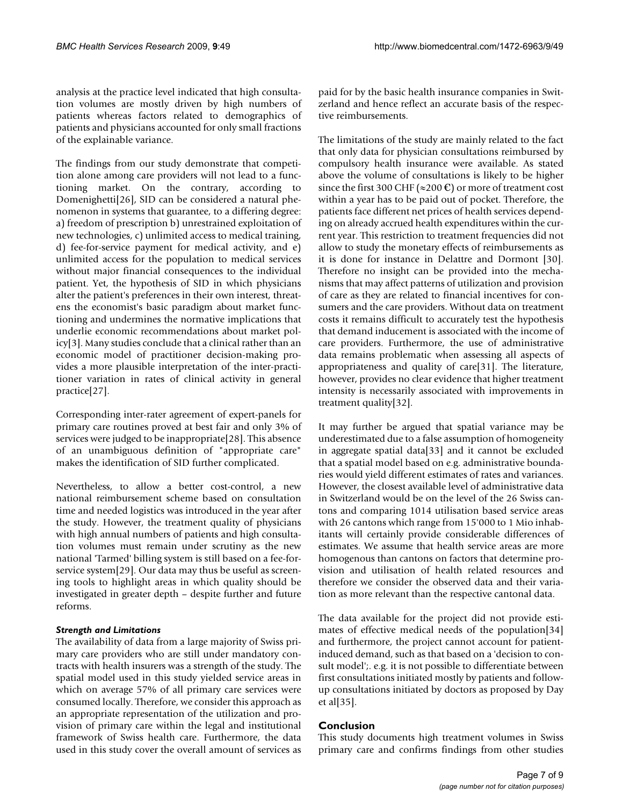analysis at the practice level indicated that high consultation volumes are mostly driven by high numbers of patients whereas factors related to demographics of patients and physicians accounted for only small fractions of the explainable variance.

The findings from our study demonstrate that competition alone among care providers will not lead to a functioning market. On the contrary, according to Domenighetti[\[26](#page-8-8)], SID can be considered a natural phenomenon in systems that guarantee, to a differing degree: a) freedom of prescription b) unrestrained exploitation of new technologies, c) unlimited access to medical training, d) fee-for-service payment for medical activity, and e) unlimited access for the population to medical services without major financial consequences to the individual patient. Yet, the hypothesis of SID in which physicians alter the patient's preferences in their own interest, threatens the economist's basic paradigm about market functioning and undermines the normative implications that underlie economic recommendations about market policy[\[3\]](#page-7-2). Many studies conclude that a clinical rather than an economic model of practitioner decision-making provides a more plausible interpretation of the inter-practitioner variation in rates of clinical activity in general practice[\[27\]](#page-8-9).

Corresponding inter-rater agreement of expert-panels for primary care routines proved at best fair and only 3% of services were judged to be inappropriate[[28\]](#page-8-10). This absence of an unambiguous definition of "appropriate care" makes the identification of SID further complicated.

Nevertheless, to allow a better cost-control, a new national reimbursement scheme based on consultation time and needed logistics was introduced in the year after the study. However, the treatment quality of physicians with high annual numbers of patients and high consultation volumes must remain under scrutiny as the new national 'Tarmed' billing system is still based on a fee-forservice system[\[29](#page-8-11)]. Our data may thus be useful as screening tools to highlight areas in which quality should be investigated in greater depth – despite further and future reforms.

## *Strength and Limitations*

The availability of data from a large majority of Swiss primary care providers who are still under mandatory contracts with health insurers was a strength of the study. The spatial model used in this study yielded service areas in which on average 57% of all primary care services were consumed locally. Therefore, we consider this approach as an appropriate representation of the utilization and provision of primary care within the legal and institutional framework of Swiss health care. Furthermore, the data used in this study cover the overall amount of services as paid for by the basic health insurance companies in Switzerland and hence reflect an accurate basis of the respective reimbursements.

The limitations of the study are mainly related to the fact that only data for physician consultations reimbursed by compulsory health insurance were available. As stated above the volume of consultations is likely to be higher since the first 300 CHF ( $\approx$ 200 €) or more of treatment cost within a year has to be paid out of pocket. Therefore, the patients face different net prices of health services depending on already accrued health expenditures within the current year. This restriction to treatment frequencies did not allow to study the monetary effects of reimbursements as it is done for instance in Delattre and Dormont [\[30](#page-8-12)]. Therefore no insight can be provided into the mechanisms that may affect patterns of utilization and provision of care as they are related to financial incentives for consumers and the care providers. Without data on treatment costs it remains difficult to accurately test the hypothesis that demand inducement is associated with the income of care providers. Furthermore, the use of administrative data remains problematic when assessing all aspects of appropriateness and quality of care[\[31](#page-8-13)]. The literature, however, provides no clear evidence that higher treatment intensity is necessarily associated with improvements in treatment quality[\[32\]](#page-8-14).

It may further be argued that spatial variance may be underestimated due to a false assumption of homogeneity in aggregate spatial data[[33](#page-8-15)] and it cannot be excluded that a spatial model based on e.g. administrative boundaries would yield different estimates of rates and variances. However, the closest available level of administrative data in Switzerland would be on the level of the 26 Swiss cantons and comparing 1014 utilisation based service areas with 26 cantons which range from 15'000 to 1 Mio inhabitants will certainly provide considerable differences of estimates. We assume that health service areas are more homogenous than cantons on factors that determine provision and utilisation of health related resources and therefore we consider the observed data and their variation as more relevant than the respective cantonal data.

The data available for the project did not provide estimates of effective medical needs of the population[[34\]](#page-8-16) and furthermore, the project cannot account for patientinduced demand, such as that based on a 'decision to consult model';. e.g. it is not possible to differentiate between first consultations initiated mostly by patients and followup consultations initiated by doctors as proposed by Day et al[\[35](#page-8-17)].

## **Conclusion**

This study documents high treatment volumes in Swiss primary care and confirms findings from other studies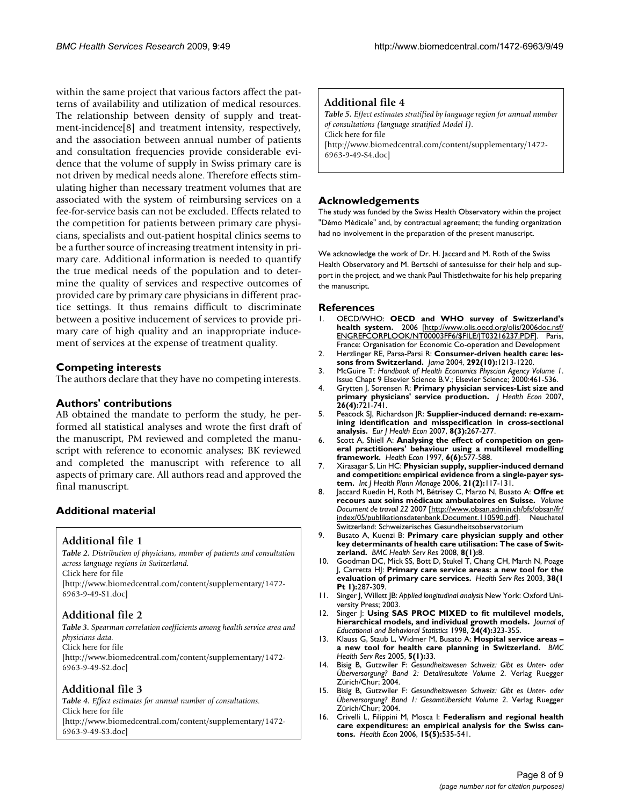within the same project that various factors affect the patterns of availability and utilization of medical resources. The relationship between density of supply and treatment-incidence[[8](#page-7-6)] and treatment intensity, respectively, and the association between annual number of patients and consultation frequencies provide considerable evidence that the volume of supply in Swiss primary care is not driven by medical needs alone. Therefore effects stimulating higher than necessary treatment volumes that are associated with the system of reimbursing services on a fee-for-service basis can not be excluded. Effects related to the competition for patients between primary care physicians, specialists and out-patient hospital clinics seems to be a further source of increasing treatment intensity in primary care. Additional information is needed to quantify the true medical needs of the population and to determine the quality of services and respective outcomes of provided care by primary care physicians in different practice settings. It thus remains difficult to discriminate between a positive inducement of services to provide primary care of high quality and an inappropriate inducement of services at the expense of treatment quality.

## **Competing interests**

The authors declare that they have no competing interests.

#### **Authors' contributions**

AB obtained the mandate to perform the study, he performed all statistical analyses and wrote the first draft of the manuscript, PM reviewed and completed the manuscript with reference to economic analyses; BK reviewed and completed the manuscript with reference to all aspects of primary care. All authors read and approved the final manuscript.

## **Additional material**

#### <span id="page-7-11"></span>**Additional file 1**

*Table 2. Distribution of physicians, number of patients and consultation across language regions in Switzerland.* Click here for file [\[http://www.biomedcentral.com/content/supplementary/1472-](http://www.biomedcentral.com/content/supplementary/1472-6963-9-49-S1.doc) 6963-9-49-S1.doc]

## <span id="page-7-12"></span>**Additional file 2**

*Table 3. Spearman correlation coefficients among health service area and physicians data.* Click here for file [\[http://www.biomedcentral.com/content/supplementary/1472-](http://www.biomedcentral.com/content/supplementary/1472-6963-9-49-S2.doc) 6963-9-49-S2.doc]

## <span id="page-7-14"></span>**Additional file 3**

*Table 4. Effect estimates for annual number of consultations.* Click here for file [\[http://www.biomedcentral.com/content/supplementary/1472-](http://www.biomedcentral.com/content/supplementary/1472-6963-9-49-S3.doc) 6963-9-49-S3.doc]

### <span id="page-7-15"></span>**Additional file 4**

*Table 5. Effect estimates stratified by language region for annual number of consultations (language stratified Model I).* Click here for file [\[http://www.biomedcentral.com/content/supplementary/1472-](http://www.biomedcentral.com/content/supplementary/1472-6963-9-49-S4.doc) 6963-9-49-S4.doc]

### **Acknowledgements**

The study was funded by the Swiss Health Observatory within the project "Démo Médicale" and, by contractual agreement; the funding organization had no involvement in the preparation of the present manuscript.

We acknowledge the work of Dr. H. Jaccard and M. Roth of the Swiss Health Observatory and M. Bertschi of santesuisse for their help and support in the project, and we thank Paul Thistlethwaite for his help preparing the manuscript.

#### **References**

- <span id="page-7-0"></span>1. OECD/WHO: **OECD and WHO survey of Switzerland's health system.** 2006 [[http://www.olis.oecd.org/olis/2006doc.nsf/](http://www.olis.oecd.org/olis/2006doc.nsf/ENGREFCORPLOOK/NT00003FF6/$FILE/JT03216237.PDF) [ENGREFCORPLOOK/NT00003FF6/\\$FILE/JT03216237.PDF\]](http://www.olis.oecd.org/olis/2006doc.nsf/ENGREFCORPLOOK/NT00003FF6/$FILE/JT03216237.PDF). Paris, France: Organisation for Economic Co-operation and Development
- <span id="page-7-1"></span>2. Herzlinger RE, Parsa-Parsi R: **[Consumer-driven health care: les](http://www.ncbi.nlm.nih.gov/entrez/query.fcgi?cmd=Retrieve&db=PubMed&dopt=Abstract&list_uids=15353534)[sons from Switzerland.](http://www.ncbi.nlm.nih.gov/entrez/query.fcgi?cmd=Retrieve&db=PubMed&dopt=Abstract&list_uids=15353534)** *Jama* 2004, **292(10):**1213-1220.
- <span id="page-7-2"></span>3. McGuire T: *Handbook of Health Economics Physcian Agency Volume 1*. Issue Chapt 9 Elsevier Science B.V.; Elsevier Science; 2000:461-536.
- <span id="page-7-3"></span>4. Grytten J, Sorensen R: **[Primary physician services-List size and](http://www.ncbi.nlm.nih.gov/entrez/query.fcgi?cmd=Retrieve&db=PubMed&dopt=Abstract&list_uids=17289186) [primary physicians' service production.](http://www.ncbi.nlm.nih.gov/entrez/query.fcgi?cmd=Retrieve&db=PubMed&dopt=Abstract&list_uids=17289186)** *J Health Econ* 2007, **26(4):**721-741.
- <span id="page-7-4"></span>5. Peacock SJ, Richardson JR: **[Supplier-induced demand: re-exam](http://www.ncbi.nlm.nih.gov/entrez/query.fcgi?cmd=Retrieve&db=PubMed&dopt=Abstract&list_uids=17401594)[ining identification and misspecification in cross-sectional](http://www.ncbi.nlm.nih.gov/entrez/query.fcgi?cmd=Retrieve&db=PubMed&dopt=Abstract&list_uids=17401594) [analysis.](http://www.ncbi.nlm.nih.gov/entrez/query.fcgi?cmd=Retrieve&db=PubMed&dopt=Abstract&list_uids=17401594)** *Eur J Health Econ* 2007, **8(3):**267-277.
- <span id="page-7-17"></span>6. Scott A, Shiell A: **[Analysing the effect of competition on gen](http://www.ncbi.nlm.nih.gov/entrez/query.fcgi?cmd=Retrieve&db=PubMed&dopt=Abstract&list_uids=9466140)[eral practitioners' behaviour using a multilevel modelling](http://www.ncbi.nlm.nih.gov/entrez/query.fcgi?cmd=Retrieve&db=PubMed&dopt=Abstract&list_uids=9466140) [framework.](http://www.ncbi.nlm.nih.gov/entrez/query.fcgi?cmd=Retrieve&db=PubMed&dopt=Abstract&list_uids=9466140)** *Health Econ* 1997, **6(6):**577-588.
- <span id="page-7-5"></span>7. Xirasagar S, Lin HC: **[Physician supply, supplier-induced demand](http://www.ncbi.nlm.nih.gov/entrez/query.fcgi?cmd=Retrieve&db=PubMed&dopt=Abstract&list_uids=16846104) [and competition: empirical evidence from a single-payer sys](http://www.ncbi.nlm.nih.gov/entrez/query.fcgi?cmd=Retrieve&db=PubMed&dopt=Abstract&list_uids=16846104)[tem.](http://www.ncbi.nlm.nih.gov/entrez/query.fcgi?cmd=Retrieve&db=PubMed&dopt=Abstract&list_uids=16846104)** *Int J Health Plann Manage* 2006, **21(2):**117-131.
- <span id="page-7-6"></span>8. Jaccard Ruedin H, Roth M, Bétrisey C, Marzo N, Busato A: **Offre et recours aux soins médicaux ambulatoires en Suisse.** *Volume Document de travail 22* 2007 [\[http://www.obsan.admin.ch/bfs/obsan/fr/](http://www.obsan.admin.ch/bfs/obsan/fr/index/05/publikationsdatenbank.Document.110590.pdf) [index/05/publikationsdatenbank.Document.110590.pdf\]](http://www.obsan.admin.ch/bfs/obsan/fr/index/05/publikationsdatenbank.Document.110590.pdf). Switzerland: Schweizerisches Gesundheitsobservatorium
- <span id="page-7-7"></span>9. Busato A, Kuenzi B: **[Primary care physician supply and other](http://www.ncbi.nlm.nih.gov/entrez/query.fcgi?cmd=Retrieve&db=PubMed&dopt=Abstract&list_uids=18190705) [key determinants of health care utilisation: The case of Swit](http://www.ncbi.nlm.nih.gov/entrez/query.fcgi?cmd=Retrieve&db=PubMed&dopt=Abstract&list_uids=18190705)[zerland.](http://www.ncbi.nlm.nih.gov/entrez/query.fcgi?cmd=Retrieve&db=PubMed&dopt=Abstract&list_uids=18190705)** *BMC Health Serv Res* 2008, **8(1):**8.
- <span id="page-7-8"></span>10. Goodman DC, Mick SS, Bott D, Stukel T, Chang CH, Marth N, Poage J, Carretta HJ: **[Primary care service areas: a new tool for the](http://www.ncbi.nlm.nih.gov/entrez/query.fcgi?cmd=Retrieve&db=PubMed&dopt=Abstract&list_uids=12650392) [evaluation of primary care services.](http://www.ncbi.nlm.nih.gov/entrez/query.fcgi?cmd=Retrieve&db=PubMed&dopt=Abstract&list_uids=12650392)** *Health Serv Res* 2003, **38(1 Pt 1):**287-309.
- <span id="page-7-9"></span>11. Singer J, Willett JB: *Applied longitudinal analysis* New York: Oxford University Press; 2003.
- <span id="page-7-10"></span>12. Singer J: **Using SAS PROC MIXED to fit multilevel models, hierarchical models, and individual growth models.** *Journal of Educational and Behavioral Statistics* 1998, **24(4):**323-355.
- <span id="page-7-13"></span>13. Klauss G, Staub L, Widmer M, Busato A: **[Hospital service areas –](http://www.ncbi.nlm.nih.gov/entrez/query.fcgi?cmd=Retrieve&db=PubMed&dopt=Abstract&list_uids=15882463) [a new tool for health care planning in Switzerland.](http://www.ncbi.nlm.nih.gov/entrez/query.fcgi?cmd=Retrieve&db=PubMed&dopt=Abstract&list_uids=15882463)** *BMC Health Serv Res* 2005, **5(1):**33.
- <span id="page-7-16"></span>14. Bisig B, Gutzwiler F: *Gesundheitswesen Schweiz: Gibt es Unter- oder Überversorgung? Band 2: Detailresultate Volume 2*. Verlag Ruegger Zürich/Chur; 2004.
- 15. Bisig B, Gutzwiler F: *Gesundheitswesen Schweiz: Gibt es Unter- oder Überversorgung? Band 1: Gesamtübersicht Volume 2*. Verlag Ruegger Zürich/Chur; 2004.
- <span id="page-7-18"></span>16. Crivelli L, Filippini M, Mosca I: **[Federalism and regional health](http://www.ncbi.nlm.nih.gov/entrez/query.fcgi?cmd=Retrieve&db=PubMed&dopt=Abstract&list_uids=16389663) [care expenditures: an empirical analysis for the Swiss can](http://www.ncbi.nlm.nih.gov/entrez/query.fcgi?cmd=Retrieve&db=PubMed&dopt=Abstract&list_uids=16389663)[tons.](http://www.ncbi.nlm.nih.gov/entrez/query.fcgi?cmd=Retrieve&db=PubMed&dopt=Abstract&list_uids=16389663)** *Health Econ* 2006, **15(5):**535-541.